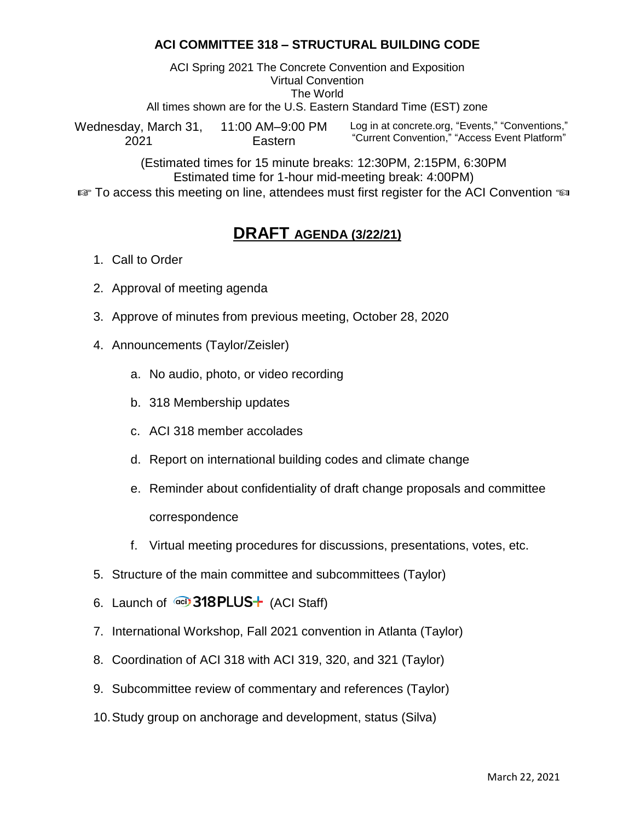## **ACI COMMITTEE 318 – STRUCTURAL BUILDING CODE**

ACI Spring 2021 The Concrete Convention and Exposition Virtual Convention The World

All times shown are for the U.S. Eastern Standard Time (EST) zone

Wednesday, March 31, 2021 11:00 AM–9:00 PM Eastern Log in at concrete.org, "Events," "Conventions," "Current Convention," "Access Event Platform"

(Estimated times for 15 minute breaks: 12:30PM, 2:15PM, 6:30PM Estimated time for 1-hour mid-meeting break: 4:00PM)

 $\mathbb{F}$  To access this meeting on line, attendees must first register for the ACI Convention  $\mathbb{F}$ 

## **DRAFT AGENDA (3/22/21)**

- 1. Call to Order
- 2. Approval of meeting agenda
- 3. Approve of minutes from previous meeting, October 28, 2020
- 4. Announcements (Taylor/Zeisler)
	- a. No audio, photo, or video recording
	- b. 318 Membership updates
	- c. ACI 318 member accolades
	- d. Report on international building codes and climate change
	- e. Reminder about confidentiality of draft change proposals and committee correspondence
	- f. Virtual meeting procedures for discussions, presentations, votes, etc.
- 5. Structure of the main committee and subcommittees (Taylor)
- 6. Launch of  $\overline{O}$  318 PLUS $+$  (ACI Staff)
- 7. International Workshop, Fall 2021 convention in Atlanta (Taylor)
- 8. Coordination of ACI 318 with ACI 319, 320, and 321 (Taylor)
- 9. Subcommittee review of commentary and references (Taylor)
- 10.Study group on anchorage and development, status (Silva)